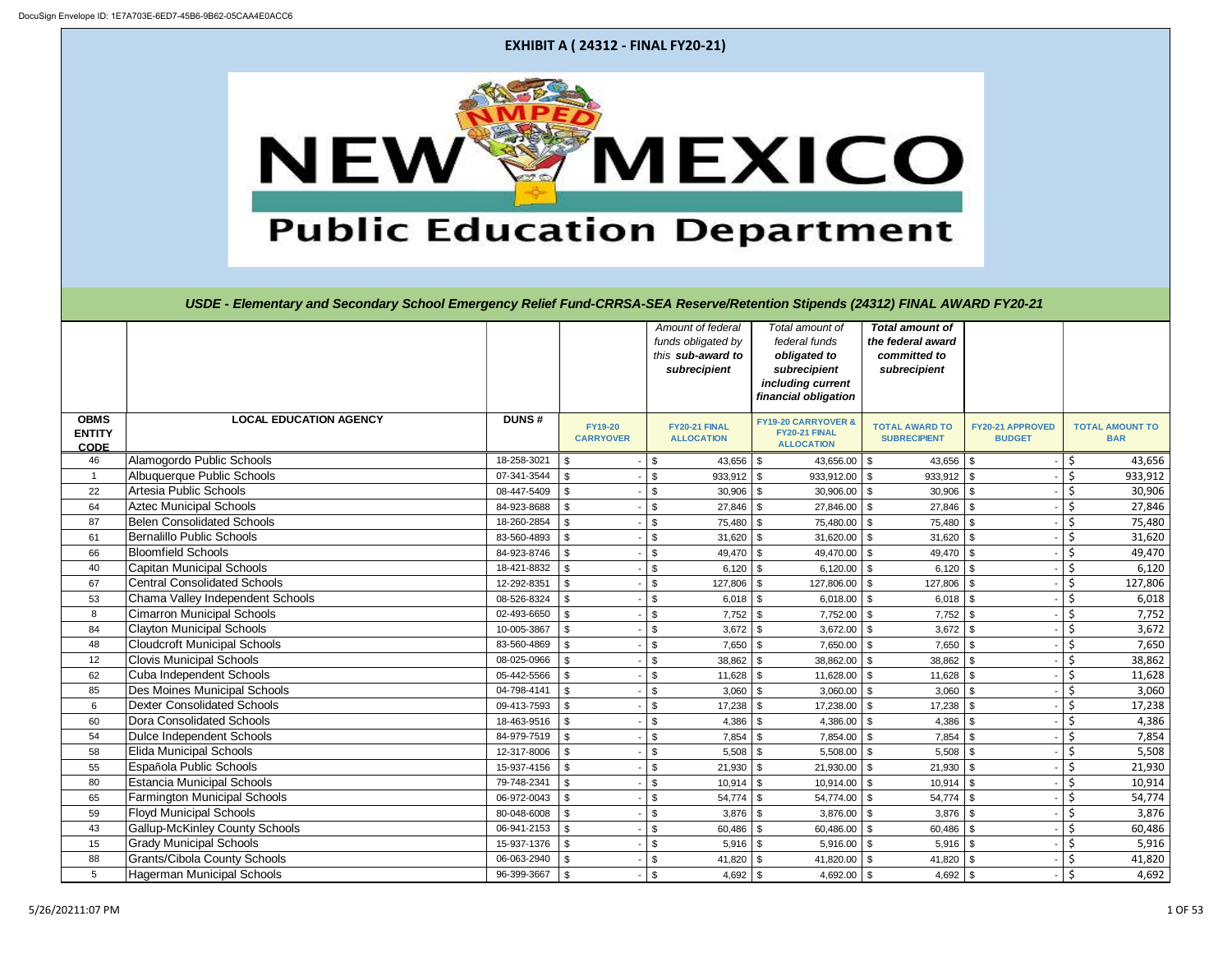| <b>RD FY20-21</b>                                                                                                                                                                          |                                           |
|--------------------------------------------------------------------------------------------------------------------------------------------------------------------------------------------|-------------------------------------------|
|                                                                                                                                                                                            |                                           |
|                                                                                                                                                                                            |                                           |
|                                                                                                                                                                                            |                                           |
|                                                                                                                                                                                            |                                           |
|                                                                                                                                                                                            |                                           |
|                                                                                                                                                                                            |                                           |
| FY20-21 APPROVED<br><b>BUDGET</b>                                                                                                                                                          | <b>TOTAL AMOUNT TO</b><br><b>BAR</b>      |
|                                                                                                                                                                                            |                                           |
| ₿                                                                                                                                                                                          | 43,656                                    |
| $\frac{1}{2}$                                                                                                                                                                              | $\frac{5}{5}$<br>$\frac{5}{5}$<br>933,912 |
| -                                                                                                                                                                                          | 30,906                                    |
| \$<br>-<br>\$                                                                                                                                                                              | 27,846                                    |
| -<br>-                                                                                                                                                                                     | 75,480<br>31,620                          |
| -                                                                                                                                                                                          | 49,470                                    |
| -                                                                                                                                                                                          | 6,120                                     |
| $\frac{1}{2}$ $\frac{1}{2}$ $\frac{1}{2}$ $\frac{1}{2}$ $\frac{1}{2}$ $\frac{1}{2}$ $\frac{1}{2}$ $\frac{1}{2}$ $\frac{1}{2}$ $\frac{1}{2}$ $\frac{1}{2}$ $\frac{1}{2}$ $\frac{1}{2}$<br>- | 127,806                                   |
| -                                                                                                                                                                                          | 6,018                                     |
| -                                                                                                                                                                                          | 7,752                                     |
| -                                                                                                                                                                                          | 3,672                                     |
| -                                                                                                                                                                                          | 7,650                                     |
| -                                                                                                                                                                                          | 38,862                                    |
| -                                                                                                                                                                                          | 11,628                                    |
| -                                                                                                                                                                                          | $\frac{3,060}{17,238}$                    |
| ÷,                                                                                                                                                                                         | 4,386                                     |
| -<br>-                                                                                                                                                                                     | 7,854                                     |
| स समास्म समास्म सम<br>÷,                                                                                                                                                                   | 5,508                                     |
| -                                                                                                                                                                                          | 21,930                                    |
| -                                                                                                                                                                                          | 10,914                                    |
| ÷                                                                                                                                                                                          | $\frac{1}{54,774}$                        |
| -                                                                                                                                                                                          | 3,876                                     |
| -                                                                                                                                                                                          | 60,486                                    |
| ヤーヤーサーヤ<br>÷                                                                                                                                                                               | 5,916                                     |
| -                                                                                                                                                                                          | 41,820                                    |
|                                                                                                                                                                                            | 4,692                                     |

|                                             |                                       |              |                                    | Amount of federal<br>funds obligated by<br>this sub-award to<br>subrecipient | Total amount of<br>federal funds<br>obligated to<br>subrecipient<br>including current<br>financial obligation | <b>Total amount of</b><br>the federal award<br>committed to<br>subrecipient |                                   |                                      |
|---------------------------------------------|---------------------------------------|--------------|------------------------------------|------------------------------------------------------------------------------|---------------------------------------------------------------------------------------------------------------|-----------------------------------------------------------------------------|-----------------------------------|--------------------------------------|
| <b>OBMS</b><br><b>ENTITY</b><br><b>CODE</b> | <b>LOCAL EDUCATION AGENCY</b>         | <b>DUNS#</b> | <b>FY19-20</b><br><b>CARRYOVER</b> | FY20-21 FINAL<br><b>ALLOCATION</b>                                           | <b>FY19-20 CARRYOVER &amp;</b><br>FY20-21 FINAL<br><b>ALLOCATION</b>                                          | <b>TOTAL AWARD TO</b><br><b>SUBRECIPIENT</b>                                | FY20-21 APPROVED<br><b>BUDGET</b> | <b>TOTAL AMOUNT TO</b><br><b>BAR</b> |
| 46                                          | Alamogordo Public Schools             | 18-258-3021  | \$                                 | $43,656$ \$<br>$\boldsymbol{\mathsf{S}}$                                     | 43,656.00 \$                                                                                                  | $43,656$ \ \$                                                               |                                   | \$<br>43,656                         |
| $\overline{1}$                              | Albuquerque Public Schools            | 07-341-3544  | $\sqrt[6]{3}$                      | $\sqrt[6]{\frac{1}{2}}$<br>$933,912$ \$                                      | $933,912.00$ \$                                                                                               | $933,912$ \$                                                                |                                   | $\zeta$<br>933,912                   |
| 22                                          | Artesia Public Schools                | 08-447-5409  | l \$                               | $30,906$ \$<br>$\sqrt[6]{2}$                                                 | $30,906.00$ \$                                                                                                | 30,906                                                                      | - \$                              | \$<br>30,906                         |
| 64                                          | <b>Aztec Municipal Schools</b>        | 84-923-8688  | \$                                 | $\sqrt[6]{3}$<br>$27,846$ \ \$                                               | 27,846.00                                                                                                     | 27,846                                                                      | - \$                              | $\zeta$<br>27,846                    |
| 87                                          | <b>Belen Consolidated Schools</b>     | 18-260-2854  | \$                                 | $\sqrt[6]{2}$<br>$75,480$ \$                                                 | 75,480.00                                                                                                     | 75,480                                                                      | 1S                                | \$<br>75,480                         |
| 61                                          | Bernalillo Public Schools             | 83-560-4893  | \$                                 | $31,620$ \$<br>$\sqrt[6]{3}$                                                 | 31,620.00                                                                                                     | 31,620                                                                      | - \$                              | \$<br>31,620                         |
| 66                                          | <b>Bloomfield Schools</b>             | 84-923-8746  | $\sqrt{3}$                         | $49,470$ \$<br>$\boldsymbol{\mathsf{S}}$                                     | 49,470.00 \$                                                                                                  | $49,470$ \ \$                                                               |                                   | \$<br>49,470                         |
| 40                                          | <b>Capitan Municipal Schools</b>      | 18-421-8832  | $\sqrt{3}$                         | $\sqrt[6]{2}$<br>$6,120$ \$                                                  | 6,120.00 $\vert$ \$                                                                                           | 6,120                                                                       | l \$                              | $\zeta$<br>6,120                     |
| 67                                          | <b>Central Consolidated Schools</b>   | 12-292-8351  | $\mathfrak{S}$                     | \$<br>$127,806$ \$                                                           | 127,806.00 \$                                                                                                 | 127,806                                                                     | -\$                               | $\zeta$<br>127,806                   |
| 53                                          | Chama Valley Independent Schools      | 08-526-8324  | \$                                 | $6,018$ \$<br>$\sqrt[6]{3}$                                                  | $6,018.00$ \$                                                                                                 | $6,018$ \$                                                                  |                                   | \$<br>6,018                          |
| 8                                           | <b>Cimarron Municipal Schools</b>     | 02-493-6650  | \$                                 | \$<br>$7,752$ \$                                                             | $7,752.00$ \\$                                                                                                | 7,752                                                                       |                                   | $\zeta$<br>7,752                     |
| 84                                          | <b>Clayton Municipal Schools</b>      | 10-005-3867  | \$                                 | $3,672$ \$<br>\$                                                             | $3,672.00$ \$                                                                                                 | 3,672                                                                       |                                   | \$<br>3,672                          |
| 48                                          | <b>Cloudcroft Municipal Schools</b>   | 83-560-4869  | \$                                 | $7,650$ \$<br>$\sqrt[6]{\frac{1}{2}}$                                        | $7,650.00$ \$                                                                                                 | 7,650                                                                       |                                   | \$<br>7,650                          |
| 12                                          | <b>Clovis Municipal Schools</b>       | 08-025-0966  | \$                                 | $38,862$ \$<br>$\sqrt[6]{3}$                                                 | $38,862.00$ \$                                                                                                | 38,862                                                                      |                                   | \$<br>38,862                         |
| 62                                          | Cuba Independent Schools              | 05-442-5566  | \$                                 | \$                                                                           | $11,628.00$ \ \$                                                                                              | 11,628                                                                      | l \$                              | \$<br>11,628                         |
| 85                                          | Des Moines Municipal Schools          | 04-798-4141  | $\mathfrak{L}$                     | $3,060$ \$<br>\$                                                             | $3,060.00$ \$                                                                                                 | 3,060                                                                       | l \$                              | $\zeta$<br>3,060                     |
| $6\phantom{.}6$                             | Dexter Consolidated Schools           | 09-413-7593  | $\mathbb{S}$                       | $\boldsymbol{\mathsf{S}}$<br>$17,238$ \$                                     | 17,238.00                                                                                                     | 17,238                                                                      |                                   | \$<br>17,238                         |
| 60                                          | Dora Consolidated Schools             | 18-463-9516  | $\sqrt{3}$                         | $\boldsymbol{\mathsf{S}}$<br>$4,386$ \$                                      | $4,386.00$ \$                                                                                                 | 4,386                                                                       |                                   | \$<br>4,386                          |
| 54                                          | Dulce Independent Schools             | 84-979-7519  | <b>S</b>                           | $\boldsymbol{\mathsf{S}}$<br>$7,854$ \$                                      | 7,854.00 \$                                                                                                   | 7,854                                                                       |                                   | \$<br>7,854                          |
| 58                                          | <b>Elida Municipal Schools</b>        | 12-317-8006  | $\mathfrak{L}$                     | $5,508$ \$<br>\$                                                             | $5,508.00$ \$                                                                                                 | 5,508                                                                       |                                   | $\zeta$<br>5,508                     |
| 55                                          | Española Public Schools               | 15-937-4156  | $\mathfrak{S}$                     | $21,930$ \$<br>$\mathfrak{S}$                                                | $21,930.00$ \$                                                                                                | 21,930                                                                      |                                   | $\zeta$<br>21,930                    |
| 80                                          | <b>Estancia Municipal Schools</b>     | 79-748-2341  | \$                                 | $10,914$ \$<br>\$                                                            | 10,914.00 \$                                                                                                  | 10,914                                                                      |                                   | $\zeta$<br>10,914                    |
| 65                                          | <b>Farmington Municipal Schools</b>   | 06-972-0043  | $\sqrt[6]{3}$                      | $\sqrt[6]{2}$<br>$54,774$ \$                                                 | 54,774.00 \$                                                                                                  | $54,774$ \$                                                                 |                                   | $\zeta$<br>54,774                    |
| 59                                          | <b>Floyd Municipal Schools</b>        | 80-048-6008  | $\sqrt[6]{3}$                      | $3,876$ \$<br>$\boldsymbol{\mathsf{\$}}$                                     | $3,876.00$ \$                                                                                                 | 3,876                                                                       | - \$                              | $\zeta$<br>3,876                     |
| 43                                          | <b>Gallup-McKinley County Schools</b> | 06-941-2153  | \$                                 | \$<br>$60,486$ \$                                                            | $60,486.00$ \$                                                                                                | 60,486                                                                      | - \$                              | \$<br>60,486                         |
| 15                                          | <b>Grady Municipal Schools</b>        | 15-937-1376  | \$                                 | $\sqrt[6]{3}$<br>$5,916$ \$                                                  | $5,916.00$ \$                                                                                                 | 5,916                                                                       | l \$                              | \$<br>5,916                          |
| 88                                          | <b>Grants/Cibola County Schools</b>   | 06-063-2940  | \$                                 | $\sqrt[6]{3}$<br>41,820 $\frac{1}{3}$                                        | 41,820.00                                                                                                     | 41,820                                                                      |                                   | \$<br>41,820                         |
| 5                                           | <b>Hagerman Municipal Schools</b>     | 96-399-3667  | $\sqrt{3}$                         | $\mathbf{\hat{s}}$<br>$4,692$ \$                                             | 4,692.00 $\vert$ \$                                                                                           | 4,692 $\frac{1}{3}$                                                         |                                   | \$<br>4,692                          |

**EXHIBIT A ( 24312 - FINAL FY20-21)**



USDE - Elementary and Secondary School Emergency Relief Fund-CRRSA-SEA Reserve/Retention Stipends (24312) FINAL AWAR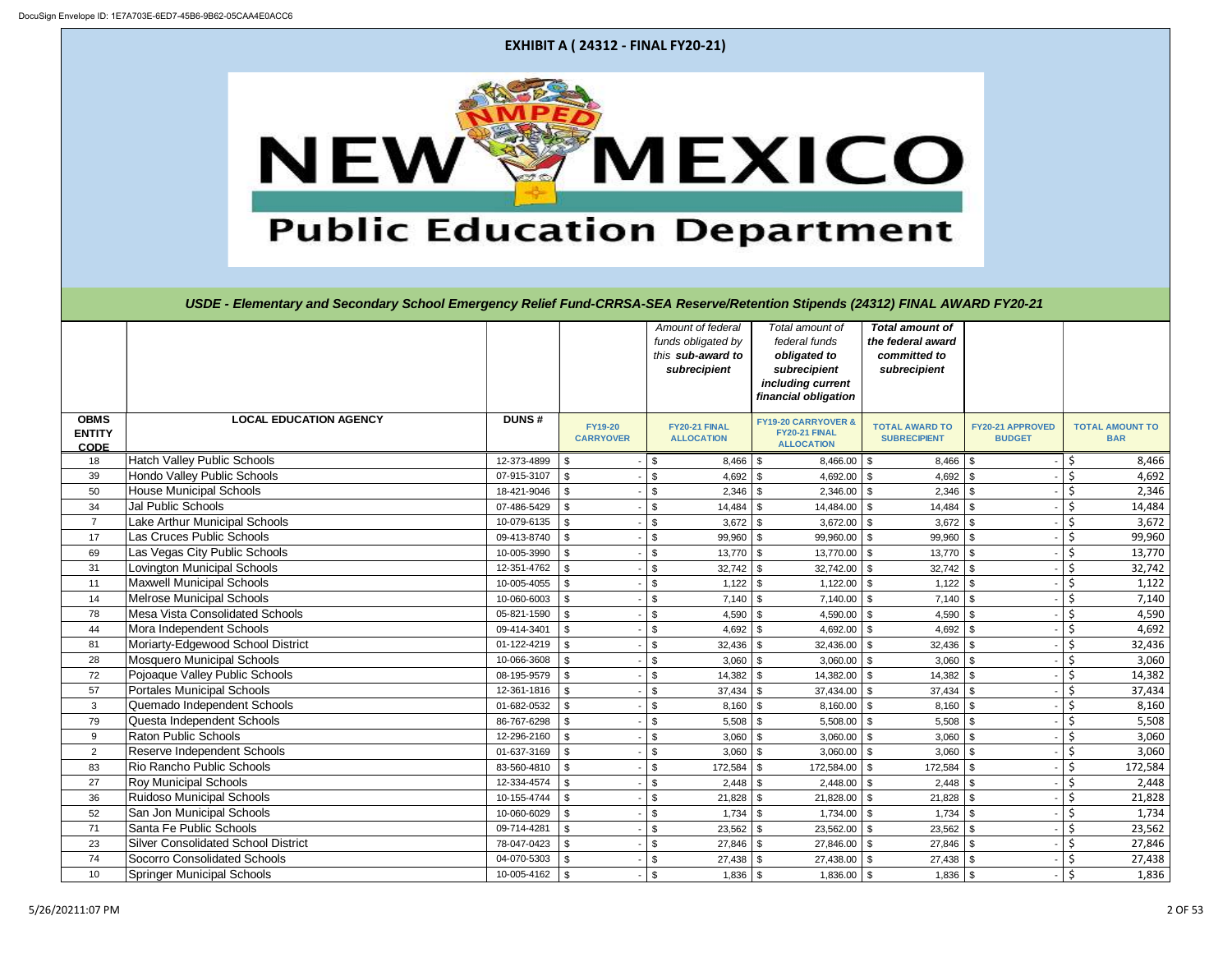| <b>EXHIBIT A (24312 - FINAL FY20-21)</b>            |                                                                                                                               |                            |                                    |          |                                                                              |                                                                                                               |                                                                             |                                          |                                      |                 |
|-----------------------------------------------------|-------------------------------------------------------------------------------------------------------------------------------|----------------------------|------------------------------------|----------|------------------------------------------------------------------------------|---------------------------------------------------------------------------------------------------------------|-----------------------------------------------------------------------------|------------------------------------------|--------------------------------------|-----------------|
| MEXICO<br>NEW<br><b>Public Education Department</b> |                                                                                                                               |                            |                                    |          |                                                                              |                                                                                                               |                                                                             |                                          |                                      |                 |
|                                                     | USDE - Elementary and Secondary School Emergency Relief Fund-CRRSA-SEA Reserve/Retention Stipends (24312) FINAL AWARD FY20-21 |                            |                                    |          |                                                                              |                                                                                                               |                                                                             |                                          |                                      |                 |
|                                                     |                                                                                                                               |                            |                                    |          | Amount of federal<br>funds obligated by<br>this sub-award to<br>subrecipient | Total amount of<br>federal funds<br>obligated to<br>subrecipient<br>including current<br>financial obligation | <b>Total amount of</b><br>the federal award<br>committed to<br>subrecipient |                                          |                                      |                 |
| <b>OBMS</b><br><b>ENTITY</b><br><b>CODE</b>         | <b>LOCAL EDUCATION AGENCY</b>                                                                                                 | <b>DUNS#</b>               | <b>FY19-20</b><br><b>CARRYOVER</b> |          | FY20-21 FINAL<br><b>ALLOCATION</b>                                           | <b>FY19-20 CARRYOVER &amp;</b><br>FY20-21 FINAL<br><b>ALLOCATION</b>                                          | <b>TOTAL AWARD TO</b><br><b>SUBRECIPIENT</b>                                | <b>FY20-21 APPROVED</b><br><b>BUDGET</b> | <b>TOTAL AMOUNT TO</b><br><b>BAR</b> |                 |
| 18                                                  | <b>Hatch Valley Public Schools</b>                                                                                            | 12-373-4899                | \$                                 | \$       | $8,466$ \ \$                                                                 | $8,466.00$ \ \$                                                                                               | 8,466                                                                       |                                          | S.                                   | 8,466           |
| 39                                                  | Hondo Valley Public Schools                                                                                                   | 07-915-3107                | \$                                 | \$       |                                                                              | $4,692.00$ \$                                                                                                 |                                                                             |                                          | Ś.                                   | 4,692           |
| 50                                                  | <b>House Municipal Schools</b>                                                                                                | 18-421-9046                | \$                                 |          |                                                                              | $2,346.00$ \ \$                                                                                               | 2,346                                                                       |                                          | \$                                   | 2,346           |
| 34                                                  | <b>Jal Public Schools</b>                                                                                                     | 07-486-5429                | \$                                 |          | 14,484                                                                       | 14,484.00 \$                                                                                                  | 14,484                                                                      |                                          |                                      | 14,484          |
| $\overline{7}$                                      | <b>Lake Arthur Municipal Schools</b>                                                                                          | $10-079-6135$ \\$          |                                    | $-$   \$ | $3,672$ \$                                                                   | 3,672.00 $\vert \$$                                                                                           | $3,672$ \$                                                                  |                                          | -12                                  | 3,672           |
| 17                                                  | Las Cruces Public Schools                                                                                                     | 09-413-8740                | \$                                 | \$       | $99,960$ \$                                                                  | 99,960.00 \$                                                                                                  | $99,960$ \$                                                                 |                                          | \$                                   | 99,960          |
| 69                                                  | Las Vegas City Public Schools                                                                                                 | 10-005-3990                | \$                                 | \$       | $13,770$ \$                                                                  | $13,770.00$ \$                                                                                                | 13,770                                                                      | l \$                                     | \$                                   | 13,770          |
| 31                                                  | <b>Lovington Municipal Schools</b>                                                                                            | 12-351-4762                | \$                                 | \$       | $32,742$ \$                                                                  | $32,742.00$ \ \ \$                                                                                            | $32,742$ \$                                                                 |                                          | \$                                   | 32,742          |
| 11                                                  | <b>Maxwell Municipal Schools</b><br><b>Melrose Municipal Schools</b>                                                          | 10-005-4055                | \$                                 | \$       |                                                                              | $1,122.00$ \ \$                                                                                               | $1,122$ \$                                                                  |                                          | \$                                   | 1,122           |
| 14<br>78                                            | <b>Mesa Vista Consolidated Schools</b>                                                                                        | 10-060-6003<br>05-821-1590 | \$<br>$\mathfrak{S}$               | \$       | $7,140$ \$<br>$4,590$ \$                                                     | $7,140.00$ \$<br>4,590.00 $\vert$ \$                                                                          | 7,140<br>4,590                                                              | l \$                                     | \$                                   | 7,140<br>4,590  |
| 44                                                  | Mora Independent Schools                                                                                                      | 09-414-3401                | \$                                 | \$       | $4,692$ \$                                                                   | 4,692.00 $\frac{1}{9}$                                                                                        | 4,692                                                                       | - \$                                     | \$                                   | 4,692           |
| 81                                                  | Moriarty-Edgewood School District                                                                                             | 01-122-4219                | \$                                 | \$       |                                                                              | $32,436.00$ \$                                                                                                | 32,436                                                                      |                                          | \$                                   | 32,436          |
| 28                                                  | <b>Mosquero Municipal Schools</b>                                                                                             | 10-066-3608                | \$                                 | \$       | $3,060$ \$                                                                   | $3,060.00$ \$                                                                                                 | $3,060$ \$                                                                  |                                          | \$                                   | 3,060           |
| 72                                                  | Pojoaque Valley Public Schools                                                                                                | 08-195-9579                | \$                                 | \$       | $14,382$ \$                                                                  | $14,382.00$ \$                                                                                                | 14,382                                                                      | l \$                                     | \$                                   | 14,382          |
| 57                                                  | <b>Portales Municipal Schools</b>                                                                                             | 12-361-1816                | $\mathfrak{S}$                     |          | $37,434$ \$                                                                  | $37,434.00$ \$                                                                                                | 37,434                                                                      | l \$                                     |                                      | 37,434          |
| 3                                                   | Quemado Independent Schools                                                                                                   | 01-682-0532                | \$                                 |          | $8,160$ \$                                                                   | $8,160.00$ \$                                                                                                 | 8,160                                                                       |                                          | \$                                   | 8,160           |
| 79                                                  | Questa Independent Schools                                                                                                    | 86-767-6298                | \$                                 | \$       | $5,508$ \$                                                                   | $5,508.00$ \$                                                                                                 | 5,508                                                                       | - \$                                     | \$                                   | 5,508           |
| 9                                                   | <b>Raton Public Schools</b>                                                                                                   | 12-296-2160                | \$                                 | \$       | $3,060$ \$                                                                   | $3,060.00$ \$                                                                                                 | 3,060                                                                       | - \$                                     | \$                                   | 3,060           |
| $\overline{2}$                                      | Reserve Independent Schools                                                                                                   | 01-637-3169                | \$                                 | \$       | $3,060$ \$                                                                   | $3,060.00$ \$                                                                                                 | 3,060                                                                       |                                          | \$                                   | 3,060           |
| 83                                                  | Rio Rancho Public Schools                                                                                                     | 83-560-4810                | \$                                 | \$       |                                                                              | $172,584.00$ \ \$                                                                                             | 172,584                                                                     |                                          | \$                                   | 172,584         |
| 27                                                  | <b>Roy Municipal Schools</b>                                                                                                  | 12-334-4574                | \$                                 |          |                                                                              | $2,448.00$ \ \$                                                                                               | $2,448$ \$                                                                  |                                          | \$                                   | 2,448           |
| 36<br>52                                            | <b>Ruidoso Municipal Schools</b><br>San Jon Municipal Schools                                                                 | 10-155-4744<br>10-060-6029 | \$<br>$\mathfrak{S}$               |          | $21,828$ \$                                                                  | $21,828.00$ \$                                                                                                | 21,828                                                                      |                                          | \$<br>\$                             | 21,828<br>1,734 |
| 71                                                  | Santa Fe Public Schools                                                                                                       | 09-714-4281                | \$                                 | \$<br>\$ | $23,562$ \$                                                                  | $1,734.00$ \ \$<br>$23,562.00$ \$                                                                             | 1,734<br>$23,562$ \$                                                        | - \$                                     | \$                                   | 23,562          |
| 23                                                  | <b>Silver Consolidated School District</b>                                                                                    | 78-047-0423                | $\sqrt[6]{\frac{1}{2}}$            | \$       | $27,846$ \$                                                                  | 27,846.00 \$                                                                                                  | $27,846$ \$                                                                 |                                          | \$                                   | 27,846          |
| 74                                                  | <b>Socorro Consolidated Schools</b>                                                                                           | $04 - 070 - 5303$ \ \$     |                                    | \$       | $27,438$ \$                                                                  | 27,438.00 \$                                                                                                  | $27,438$ \$                                                                 |                                          | \$                                   | 27,438          |
| 10                                                  | <b>Springer Municipal Schools</b>                                                                                             | $10-005-4162$ \$           |                                    | \$       | $1,836$ \$                                                                   | $1,836.00$ \$                                                                                                 | $1,836$ \$                                                                  |                                          | $\zeta$                              | 1,836           |

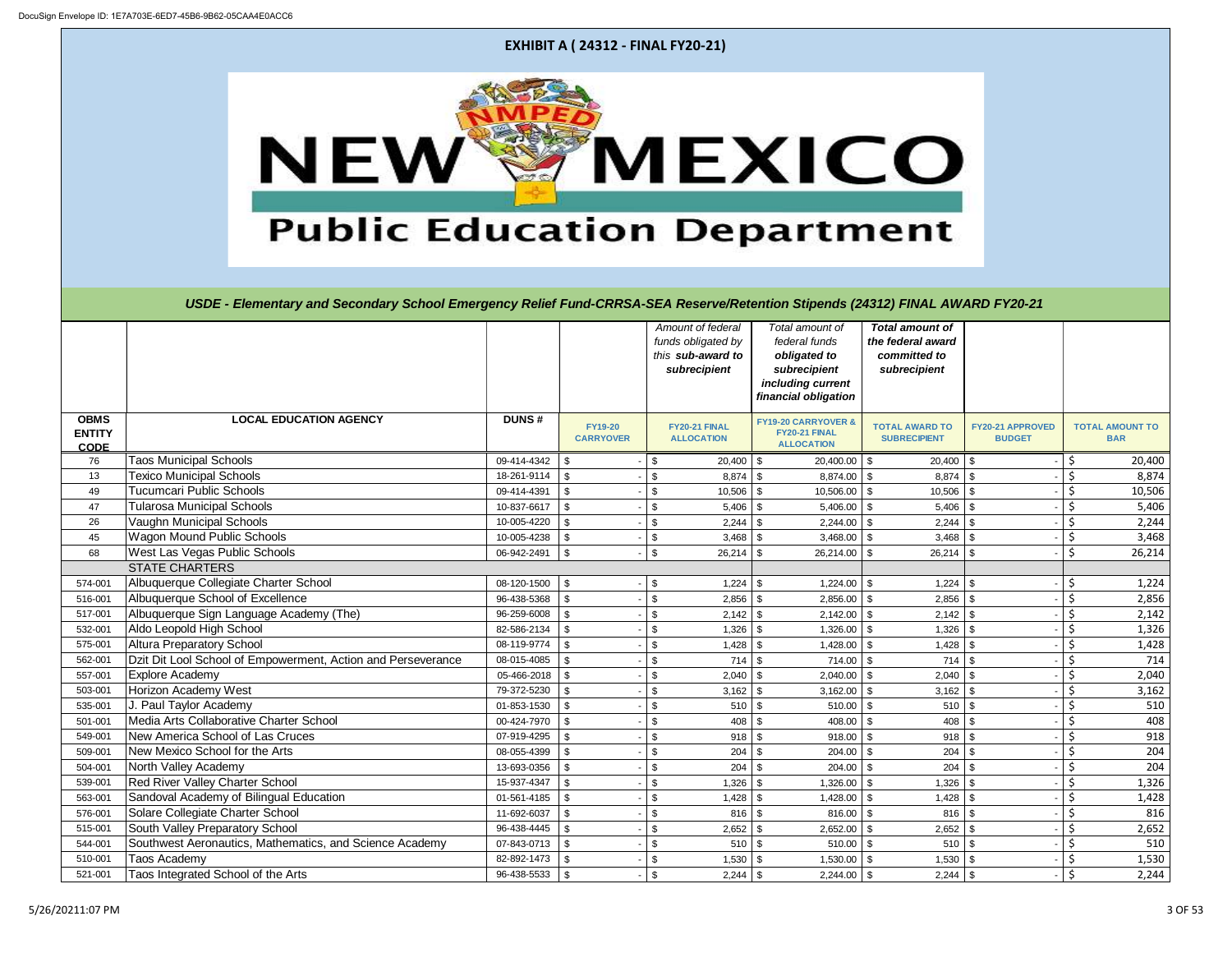| <b>RD FY20-21</b>                                  |                                                          |
|----------------------------------------------------|----------------------------------------------------------|
|                                                    |                                                          |
|                                                    |                                                          |
|                                                    |                                                          |
|                                                    |                                                          |
|                                                    |                                                          |
|                                                    |                                                          |
| FY20-21 APPROVED                                   | <b>TOTAL AMOUNT TO</b>                                   |
| <b>BUDGET</b>                                      | <b>BAR</b>                                               |
| \$                                                 | 20,400                                                   |
| -                                                  | $\frac{5}{5}$<br>$\frac{5}{5}$<br>$\frac{5}{5}$<br>8,874 |
| アマママ<br>-                                          | 10,506                                                   |
| -                                                  | 5,406                                                    |
| ۰                                                  | 2,244                                                    |
| ₿<br>-                                             | 3,468                                                    |
| \$                                                 | $rac{5}{5}$<br>26,214                                    |
|                                                    |                                                          |
| -                                                  | 1,224                                                    |
| -                                                  | 2,856<br>2,142                                           |
| ÷,                                                 |                                                          |
| -                                                  | 1,326<br>1,428                                           |
| स्मा समासमा समासमा समासमा समासमा समासमा समासम<br>÷ |                                                          |
| -                                                  | 714                                                      |
| -                                                  | 2,040<br>3,162                                           |
| ÷,<br>-                                            | 510                                                      |
| ÷                                                  | 408                                                      |
| ÷,                                                 | 918                                                      |
| -                                                  | 204                                                      |
| $\frac{1}{2}$                                      | 204                                                      |
| ÷,                                                 | 1,326                                                    |
| -                                                  | 1,428                                                    |
| -                                                  | 816                                                      |
| ÷                                                  | 2,652                                                    |
| -                                                  | 510                                                      |
| -                                                  | $\frac{1,530}{2,244}$                                    |
|                                                    |                                                          |

**EXHIBIT A ( 24312 - FINAL FY20-21)**



USDE - Elementary and Secondary School Emergency Relief Fund-CRRSA-SEA Reserve/Retention Stipends (24312) FINAL AWAR

|                                             |                                                              |              |                                    |                           | Amount of federal<br>funds obligated by<br>this sub-award to<br>subrecipient | Total amount of<br>federal funds<br>obligated to<br>subrecipient<br>including current<br>financial obligation | <b>Total amount of</b><br>the federal award<br>committed to<br>subrecipient |                                   |                    |                                      |
|---------------------------------------------|--------------------------------------------------------------|--------------|------------------------------------|---------------------------|------------------------------------------------------------------------------|---------------------------------------------------------------------------------------------------------------|-----------------------------------------------------------------------------|-----------------------------------|--------------------|--------------------------------------|
| <b>OBMS</b><br><b>ENTITY</b><br><b>CODE</b> | <b>LOCAL EDUCATION AGENCY</b>                                | <b>DUNS#</b> | <b>FY19-20</b><br><b>CARRYOVER</b> |                           | FY20-21 FINAL<br><b>ALLOCATION</b>                                           | <b>FY19-20 CARRYOVER &amp;</b><br>FY20-21 FINAL<br><b>ALLOCATION</b>                                          | <b>TOTAL AWARD TO</b><br><b>SUBRECIPIENT</b>                                | FY20-21 APPROVED<br><b>BUDGET</b> |                    | <b>TOTAL AMOUNT TO</b><br><b>BAR</b> |
| 76                                          | <b>Taos Municipal Schools</b>                                | 09-414-4342  | \$                                 | \$                        | $20,400$ \$                                                                  | $20,400.00$ \$                                                                                                | 20,400                                                                      | -\$                               | \$                 | 20,400                               |
| 13                                          | <b>Texico Municipal Schools</b>                              | 18-261-9114  | \$                                 | \$                        | $8,874$ \$                                                                   | $8,874.00$ \ \$                                                                                               | 8,874                                                                       |                                   | $\zeta$            | 8,874                                |
| 49                                          | <b>Tucumcari Public Schools</b>                              | 09-414-4391  | \$                                 | \$                        | $10,506$ \$                                                                  | $10,506.00$ \$                                                                                                | 10,506                                                                      |                                   | \$                 | 10,506                               |
| 47                                          | <b>Tularosa Municipal Schools</b>                            | 10-837-6617  | \$                                 | \$                        | $5,406$ \$                                                                   | $5,406.00$ \\$                                                                                                | 5,406                                                                       | -\$                               | $\zeta$            | 5,406                                |
| 26                                          | Vaughn Municipal Schools                                     | 10-005-4220  | \$                                 | \$                        |                                                                              | $2,244.00$ \ \$                                                                                               | 2,244                                                                       | -\$                               | $\zeta$            | 2,244                                |
| 45                                          | Wagon Mound Public Schools                                   | 10-005-4238  | $\sqrt[6]{3}$                      | $\sqrt[6]{3}$             | $3,468$ \$                                                                   | $3,468.00$ \\$                                                                                                | 3,468                                                                       | l \$                              | \$                 | 3,468                                |
| 68                                          | <b>West Las Vegas Public Schools</b>                         | 06-942-2491  | \$                                 | $\mathfrak s$             | $26,214$ \$                                                                  | $26,214.00$ \$                                                                                                | 26,214                                                                      | $\mathfrak{L}$                    | $\mathsf{\dot{S}}$ | 26,214                               |
|                                             | <b>STATE CHARTERS</b>                                        |              |                                    |                           |                                                                              |                                                                                                               |                                                                             |                                   |                    |                                      |
| 574-001                                     | Albuquerque Collegiate Charter School                        | 08-120-1500  | $\sqrt[6]{3}$                      | \$                        |                                                                              | $1,224.00$ \ \$                                                                                               |                                                                             |                                   | \$                 | 1,224                                |
| 516-001                                     | Albuquerque School of Excellence                             | 96-438-5368  | $\sqrt[6]{3}$                      | $\sqrt[6]{3}$             | $2,856$ \$                                                                   | $2,856.00$ \$                                                                                                 | 2,856                                                                       | -\$                               | $\zeta$            | 2,856                                |
| 517-001                                     | Albuquerque Sign Language Academy (The)                      | 96-259-6008  | \$                                 | \$                        | $2,142$ \$                                                                   |                                                                                                               | 2,142                                                                       | - \$                              | $\zeta$            | 2,142                                |
| 532-001                                     | Aldo Leopold High School                                     | 82-586-2134  | \$                                 | $\sqrt[6]{\frac{1}{2}}$   | 1,326                                                                        | $\mathfrak{S}$<br>$1,326.00$ \ \$                                                                             | 1,326                                                                       |                                   | $\zeta$            | 1,326                                |
| 575-001                                     | <b>Altura Preparatory School</b>                             | 08-119-9774  | \$                                 | \$                        | $1,428$ \$                                                                   | $1,428.00$ \ \$                                                                                               | 1,428                                                                       |                                   | \$                 | 1,428                                |
| 562-001                                     | Dzit Dit Lool School of Empowerment, Action and Perseverance | 08-015-4085  | -\$                                | $\boldsymbol{\mathsf{S}}$ | $714$ \$                                                                     | $714.00$ \ \$                                                                                                 | 714                                                                         | -9                                | \$                 | 714                                  |
| 557-001                                     | <b>Explore Academy</b>                                       | 05-466-2018  | -\$                                | \$                        | $2,040$ \$                                                                   | $2,040.00$ \$                                                                                                 | 2,040                                                                       | -\$                               | \$                 | 2,040                                |
| 503-001                                     | Horizon Academy West                                         | 79-372-5230  | -\$                                | $\sqrt[6]{2}$             | $3,162$ \$                                                                   | $3,162.00$ \$                                                                                                 | $3,162$ \$                                                                  |                                   | $\zeta$            | 3,162                                |
| 535-001                                     | J. Paul Taylor Academy                                       | 01-853-1530  | $\mathfrak{L}$                     | $\boldsymbol{\mathsf{S}}$ | $510$ \$                                                                     | $510.00$ \$                                                                                                   | 510                                                                         | -\$                               | $\mathsf{\dot{S}}$ | 510                                  |
| 501-001                                     | Media Arts Collaborative Charter School                      | 00-424-7970  | -\$                                | \$                        | $408$ \$                                                                     | 408.00                                                                                                        | 408                                                                         |                                   | $\zeta$            | 408                                  |
| 549-001                                     | New America School of Las Cruces                             | 07-919-4295  | \$                                 | $\sqrt[6]{3}$             | $918$ \$                                                                     | $918.00$ \$                                                                                                   | 918                                                                         |                                   | $\zeta$            | 918                                  |
| 509-001                                     | New Mexico School for the Arts                               | 08-055-4399  | $\mathfrak{L}$                     | \$                        | $204$ \$                                                                     | $204.00$ \$                                                                                                   | 204                                                                         |                                   | $\zeta$            | 204                                  |
| 504-001                                     | North Valley Academy                                         | 13-693-0356  | $\mathfrak{L}$                     | \$                        | $204$ \$                                                                     | $204.00$ \$                                                                                                   | 204                                                                         |                                   | $\zeta$            | 204                                  |
| 539-001                                     | Red River Valley Charter School                              | 15-937-4347  | $\mathfrak{L}$                     | \$                        | 1,326                                                                        | $1,326.00$ \ \$<br>\$                                                                                         | 1,326                                                                       |                                   | $\zeta$            | 1,326                                |
| 563-001                                     | Sandoval Academy of Bilingual Education                      | 01-561-4185  | \$                                 | \$                        |                                                                              | $1,428.00$ \ \$                                                                                               | 1,428                                                                       |                                   | $\zeta$            | 1,428                                |
| 576-001                                     | Solare Collegiate Charter School                             | 11-692-6037  | \$                                 | $\boldsymbol{\mathsf{S}}$ | $816$ \$                                                                     | $816.00$ \$                                                                                                   | 816                                                                         | -9                                | $\zeta$            | 816                                  |
| 515-001                                     | South Valley Preparatory School                              | 96-438-4445  | \$                                 | $\boldsymbol{\mathsf{S}}$ | $2,652$ \$                                                                   | $2,652.00$ \$                                                                                                 | 2,652                                                                       | -\$                               | $\zeta$            | 2,652                                |
| 544-001                                     | Southwest Aeronautics, Mathematics, and Science Academy      | 07-843-0713  | \$                                 | \$                        | 510S                                                                         | $510.00$ \$                                                                                                   | 510                                                                         | l \$                              | $\zeta$            | 510                                  |
| 510-001                                     | <b>Taos Academy</b>                                          | 82-892-1473  | \$                                 | $\sqrt[6]{3}$             | $1,530$ \$                                                                   | $1,530.00$ \$                                                                                                 | 1,530                                                                       |                                   | $\zeta$            | 1,530                                |
| 521-001                                     | Taos Integrated School of the Arts                           | 96-438-5533  | l \$                               | \$                        | $2,244$ \$                                                                   | $2,244.00$ \ \$                                                                                               |                                                                             |                                   | Ś.                 | 2,244                                |